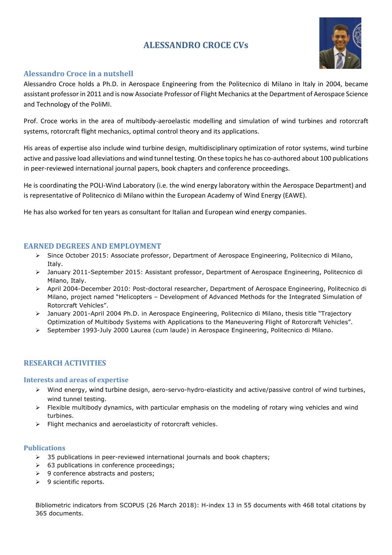# **ALESSANDRO CROCE CVs**



# **Alessandro Croce in a nutshell**

Alessandro Croce holds a Ph.D. in Aerospace Engineering from the Politecnico di Milano in Italy in 2004, became assistant professor in 2011 and is now Associate Professor of Flight Mechanics at the Department of Aerospace Science and Technology of the PoliMI.

Prof. Croce works in the area of multibody-aeroelastic modelling and simulation of wind turbines and rotorcraft systems, rotorcraft flight mechanics, optimal control theory and its applications.

His areas of expertise also include wind turbine design, multidisciplinary optimization of rotor systems, wind turbine active and passive load alleviations and wind tunnel testing. On these topics he has co-authored about 100 publications in peer-reviewed international journal papers, book chapters and conference proceedings.

He is coordinating the POLI-Wind Laboratory (i.e. the wind energy laboratory within the Aerospace Department) and is representative of Politecnico di Milano within the European Academy of Wind Energy (EAWE).

He has also worked for ten years as consultant for Italian and European wind energy companies.

## **EARNED DEGREES AND EMPLOYMENT**

- Since October 2015: Associate professor, Department of Aerospace Engineering, Politecnico di Milano, Italy.
- January 2011-September 2015: Assistant professor, Department of Aerospace Engineering, Politecnico di Milano, Italy.
- April 2004-December 2010: Post-doctoral researcher, Department of Aerospace Engineering, Politecnico di Milano, project named "Helicopters – Development of Advanced Methods for the Integrated Simulation of Rotorcraft Vehicles".
- January 2001-April 2004 Ph.D. in Aerospace Engineering, Politecnico di Milano, thesis title "Trajectory Optimization of Multibody Systems with Applications to the Maneuvering Flight of Rotorcraft Vehicles".
- September 1993-July 2000 Laurea (cum laude) in Aerospace Engineering, Politecnico di Milano.

# **RESEARCH ACTIVITIES**

## **Interests and areas of expertise**

- Wind energy, wind turbine design, aero-servo-hydro-elasticity and active/passive control of wind turbines, wind tunnel testing.
- $\triangleright$  Flexible multibody dynamics, with particular emphasis on the modeling of rotary wing vehicles and wind turbines.
- $\triangleright$  Flight mechanics and aeroelasticity of rotorcraft vehicles.

## **Publications**

- $\geq$  35 publications in peer-reviewed international journals and book chapters;
- $\geq$  63 publications in conference proceedings;
- $\geq$  9 conference abstracts and posters;
- $\triangleright$  9 scientific reports.

Bibliometric indicators from SCOPUS (26 March 2018): H-index 13 in 55 documents with 468 total citations by 365 documents.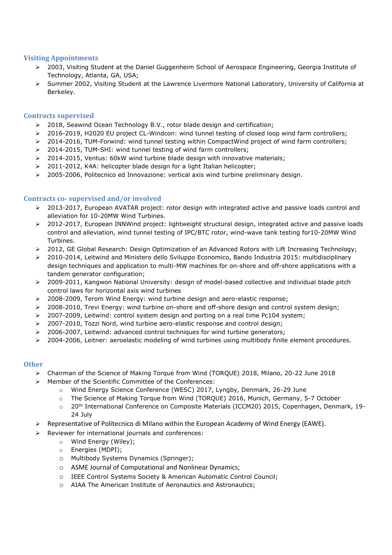## **Visiting Appointments**

- 2003, Visiting Student at the Daniel Guggenheim School of Aerospace Engineering, Georgia Institute of Technology, Atlanta, GA, USA;
- Summer 2002, Visiting Student at the Lawrence Livermore National Laboratory, University of California at Berkeley.

#### **Contracts supervised**

- 2018, Seawind Ocean Technology B.V., rotor blade design and certification;
- > 2016-2019, H2020 EU project CL-Windcon: wind tunnel testing of closed loop wind farm controllers;
- 2014-2016, TUM-Forwind: wind tunnel testing within CompactWind project of wind farm controllers;
- $\geq$  2014-2015, TUM-SHI: wind tunnel testing of wind farm controllers;
- $\geq$  2014-2015, Ventus: 60kW wind turbine blade design with innovative materials;
- $\geq$  2011-2012, K4A: helicopter blade design for a light Italian helicopter;
- $\geq$  2005-2006, Politecnico ed Innovazione: vertical axis wind turbine preliminary design.

## **Contracts co- supervised and/or involved**

- 2013-2017, European AVATAR project: rotor design with integrated active and passive loads control and alleviation for 10-20MW Wind Turbines.
- ▶ 2012-2017, European INNWind project: lightweight structural design, integrated active and passive loads control and alleviation, wind tunnel testing of IPC/BTC rotor, wind-wave tank testing for10-20MW Wind Turbines.
- 2012, GE Global Research: Design Optimization of an Advanced Rotors with Lift Increasing Technology;
- 2010-2014, Leitwind and Ministero dello Sviluppo Economico, Bando Industria 2015: multidisciplinary design techniques and application to multi-MW machines for on-shore and off-shore applications with a tandem generator configuration;
- 2009-2011, Kangwon National University: design of model-based collective and individual blade pitch control laws for horizontal axis wind turbines
- 2008-2009, Terom Wind Energy: wind turbine design and aero-elastic response;
- $\geq$  2008-2010, Trevi Energy: wind turbine on-shore and off-shore design and control system design;
- $\geq$  2007-2009, Leitwind: control system design and porting on a real time Pc104 system;
- $\geq 2007$ -2010, Tozzi Nord, wind turbine aero-elastic response and control design;
- $\geq$  2006-2007, Leitwind: advanced control techniques for wind turbine generators;
- $\geq$  2004-2006, Leitner: aeroelastic modeling of wind turbines using multibody finite element procedures.

#### **Other**

- Chairman of the Science of Making Torque from Wind (TORQUE) 2018, Milano, 20-22 June 2018
- Member of the Scientific Committee of the Conferences:
	- o Wind Energy Science Conference (WESC) 2017, Lyngby, Denmark, 26-29 June
	- o The Science of Making Torque from Wind (TORQUE) 2016, Munich, Germany, 5-7 October
	- o 20<sup>th</sup> International Conference on Composite Materials (ICCM20) 2015, Copenhagen, Denmark, 19-24 July
- $\triangleright$  Representative of Politecnico di Milano within the European Academy of Wind Energy (EAWE).
- Reviewer for international journals and conferences:
	- o Wind Energy (Wiley);
	- o Energies (MDPI);
	- o Multibody Systems Dynamics (Springer);
	- o ASME Journal of Computational and Nonlinear Dynamics;
	- o IEEE Control Systems Society & American Automatic Control Council;
	- o AIAA The American Institute of Aeronautics and Astronautics;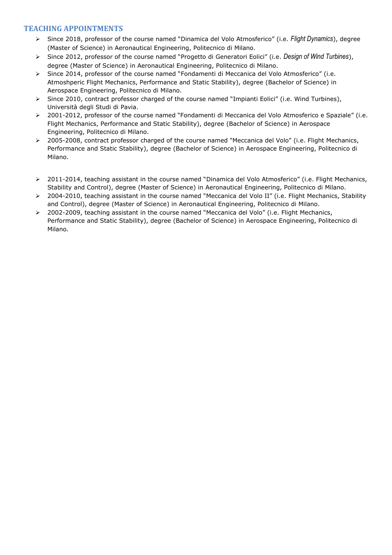# **TEACHING APPOINTMENTS**

- Since 2018, professor of the course named "Dinamica del Volo Atmosferico" (i.e. *Flight Dynamics*), degree (Master of Science) in Aeronautical Engineering, Politecnico di Milano.
- Since 2012, professor of the course named "Progetto di Generatori Eolici" (i.e. *Design of Wind Turbines*), degree (Master of Science) in Aeronautical Engineering, Politecnico di Milano.
- Since 2014, professor of the course named "Fondamenti di Meccanica del Volo Atmosferico" (i.e. Atmoshperic Flight Mechanics, Performance and Static Stability), degree (Bachelor of Science) in Aerospace Engineering, Politecnico di Milano.
- Since 2010, contract professor charged of the course named "Impianti Eolici" (i.e. Wind Turbines), Università degli Studi di Pavia.
- 2001-2012, professor of the course named "Fondamenti di Meccanica del Volo Atmosferico e Spaziale" (i.e. Flight Mechanics, Performance and Static Stability), degree (Bachelor of Science) in Aerospace Engineering, Politecnico di Milano.
- 2005-2008, contract professor charged of the course named "Meccanica del Volo" (i.e. Flight Mechanics, Performance and Static Stability), degree (Bachelor of Science) in Aerospace Engineering, Politecnico di Milano.
- 2011-2014, teaching assistant in the course named "Dinamica del Volo Atmosferico" (i.e. Flight Mechanics, Stability and Control), degree (Master of Science) in Aeronautical Engineering, Politecnico di Milano.
- 2004-2010, teaching assistant in the course named "Meccanica del Volo II" (i.e. Flight Mechanics, Stability and Control), degree (Master of Science) in Aeronautical Engineering, Politecnico di Milano.
- 2002-2009, teaching assistant in the course named "Meccanica del Volo" (i.e. Flight Mechanics, Performance and Static Stability), degree (Bachelor of Science) in Aerospace Engineering, Politecnico di Milano.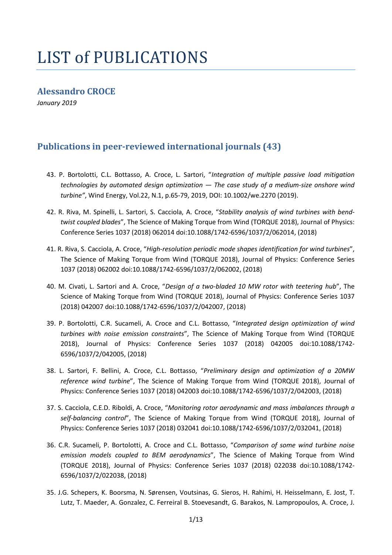# LIST of PUBLICATIONS

# **Alessandro CROCE**

*January 2019*

# **Publications in peer-reviewed international journals (43)**

- 43. P. Bortolotti, C.L. Bottasso, A. Croce, L. Sartori, "*Integration of multiple passive load mitigation technologies by automated design optimization — The case study of a medium-size onshore wind turbine"*, Wind Energy, Vol.22, N.1, p.65-79, 2019, DOI: 10.1002/we.2270 (2019).
- 42. R. Riva, M. Spinelli, L. Sartori, S. Cacciola, A. Croce, "*Stability analysis of wind turbines with bendtwist coupled blades*", The Science of Making Torque from Wind (TORQUE 2018), Journal of Physics: Conference Series 1037 (2018) 062014 doi:10.1088/1742-6596/1037/2/062014, (2018)
- 41. R. Riva, S. Cacciola, A. Croce, "*High-resolution periodic mode shapes identification for wind turbines*", The Science of Making Torque from Wind (TORQUE 2018), Journal of Physics: Conference Series 1037 (2018) 062002 doi:10.1088/1742-6596/1037/2/062002, (2018)
- 40. M. Civati, L. Sartori and A. Croce, "*Design of a two-bladed 10 MW rotor with teetering hub*", The Science of Making Torque from Wind (TORQUE 2018), Journal of Physics: Conference Series 1037 (2018) 042007 doi:10.1088/1742-6596/1037/2/042007, (2018)
- 39. P. Bortolotti, C.R. Sucameli, A. Croce and C.L. Bottasso, "*Integrated design optimization of wind turbines with noise emission constraints*", The Science of Making Torque from Wind (TORQUE 2018), Journal of Physics: Conference Series 1037 (2018) 042005 doi:10.1088/1742- 6596/1037/2/042005, (2018)
- 38. L. Sartori, F. Bellini, A. Croce, C.L. Bottasso, "*Preliminary design and optimization of a 20MW reference wind turbine*", The Science of Making Torque from Wind (TORQUE 2018), Journal of Physics: Conference Series 1037 (2018) 042003 doi:10.1088/1742-6596/1037/2/042003, (2018)
- 37. S. Cacciola, C.E.D. Riboldi, A. Croce, "*Monitoring rotor aerodynamic and mass imbalances through a self-balancing control*", The Science of Making Torque from Wind (TORQUE 2018), Journal of Physics: Conference Series 1037 (2018) 032041 doi:10.1088/1742-6596/1037/2/032041, (2018)
- 36. C.R. Sucameli, P. Bortolotti, A. Croce and C.L. Bottasso, "*Comparison of some wind turbine noise emission models coupled to BEM aerodynamics*", The Science of Making Torque from Wind (TORQUE 2018), Journal of Physics: Conference Series 1037 (2018) 022038 doi:10.1088/1742- 6596/1037/2/022038, (2018)
- 35. J.G. Schepers, K. Boorsma, N. Sørensen, Voutsinas, G. Sieros, H. Rahimi, H. Heisselmann, E. Jost, T. Lutz, T. Maeder, A. Gonzalez, C. Ferreiral B. Stoevesandt, G. Barakos, N. Lampropoulos, A. Croce, J.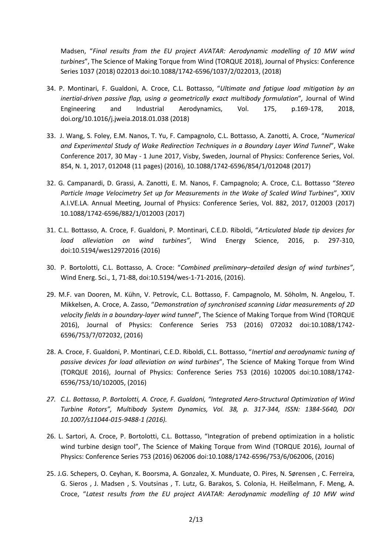Madsen, "*Final results from the EU project AVATAR: Aerodynamic modelling of 10 MW wind turbines*", The Science of Making Torque from Wind (TORQUE 2018), Journal of Physics: Conference Series 1037 (2018) 022013 doi:10.1088/1742-6596/1037/2/022013, (2018)

- 34. P. Montinari, F. Gualdoni, A. Croce, C.L. Bottasso, "*Ultimate and fatigue load mitigation by an inertial-driven passive flap, using a geometrically exact multibody formulation*"*,* Journal of Wind Engineering and Industrial Aerodynamics, Vol. 175, p.169-178, 2018, doi.org/10.1016/j.jweia.2018.01.038 (2018)
- 33. J. Wang, S. Foley, E.M. Nanos, T. Yu, F. Campagnolo, C.L. Bottasso, A. Zanotti, A. Croce, "*Numerical and Experimental Study of Wake Redirection Techniques in a Boundary Layer Wind Tunnel*", Wake Conference 2017, 30 May - 1 June 2017, Visby, Sweden, Journal of Physics: Conference Series, Vol. 854, N. 1, 2017, 012048 (11 pages) (2016), 10.1088/1742-6596/854/1/012048 (2017)
- 32. G. Campanardi, D. Grassi, A. Zanotti, E. M. Nanos, F. Campagnolo; A. Croce, C.L. Bottasso "*Stereo Particle Image Velocimetry Set up for Measurements in the Wake of Scaled Wind Turbines*", XXIV A.I.VE.LA. Annual Meeting, Journal of Physics: Conference Series, Vol. 882, 2017, 012003 (2017) 10.1088/1742-6596/882/1/012003 (2017)
- 31. C.L. Bottasso, A. Croce, F. Gualdoni, P. Montinari, C.E.D. Riboldi, "*Articulated blade tip devices for load alleviation on wind turbines"*, Wind Energy Science, 2016, p. 297-310, doi:10.5194/wes12972016 (2016)
- 30. P. Bortolotti, C.L. Bottasso, A. Croce: "*Combined preliminary–detailed design of wind turbines"*, Wind Energ. Sci., 1, 71-88, doi:10.5194/wes-1-71-2016, (2016).
- 29. M.F. van Dooren, M. Kühn, V. Petrovíc, C.L. Bottasso, F. Campagnolo, M. Söholm, N. Angelou, T. Mikkelsen, A. Croce, A. Zasso, "*Demonstration of synchronised scanning Lidar measurements of 2D velocity fields in a boundary-layer wind tunnel*", The Science of Making Torque from Wind (TORQUE 2016), Journal of Physics: Conference Series 753 (2016) 072032 doi:10.1088/1742- 6596/753/7/072032, (2016)
- 28. A. Croce, F. Gualdoni, P. Montinari, C.E.D. Riboldi, C.L. Bottasso, "*Inertial and aerodynamic tuning of passive devices for load alleviation on wind turbines*", The Science of Making Torque from Wind (TORQUE 2016), Journal of Physics: Conference Series 753 (2016) 102005 doi:10.1088/1742- 6596/753/10/102005, (2016)
- *27. C.L. Bottasso, P. Bortolotti, A. Croce, F. Gualdoni, "Integrated Aero-Structural Optimization of Wind Turbine Rotors", Multibody System Dynamics, Vol. 38, p. 317-344, ISSN: 1384-5640, DOI 10.1007/s11044-015-9488-1 (2016).*
- 26. L. Sartori, A. Croce, P. Bortolotti, C.L. Bottasso, "Integration of prebend optimization in a holistic wind turbine design tool", The Science of Making Torque from Wind (TORQUE 2016), Journal of Physics: Conference Series 753 (2016) 062006 doi:10.1088/1742-6596/753/6/062006, (2016)
- 25. J.G. Schepers, O. Ceyhan, K. Boorsma, A. Gonzalez, X. Munduate, O. Pires, N. Sørensen , C. Ferreira, G. Sieros , J. Madsen , S. Voutsinas , T. Lutz, G. Barakos, S. Colonia, H. Heißelmann, F. Meng, A. Croce, "*Latest results from the EU project AVATAR: Aerodynamic modelling of 10 MW wind*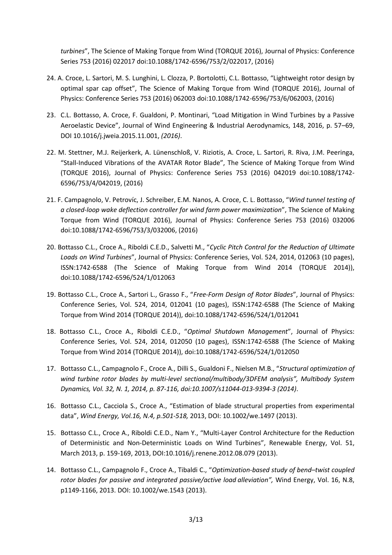*turbines*", The Science of Making Torque from Wind (TORQUE 2016), Journal of Physics: Conference Series 753 (2016) 022017 doi:10.1088/1742-6596/753/2/022017, (2016)

- 24. A. Croce, L. Sartori, M. S. Lunghini, L. Clozza, P. Bortolotti, C.L. Bottasso, "Lightweight rotor design by optimal spar cap offset", The Science of Making Torque from Wind (TORQUE 2016), Journal of Physics: Conference Series 753 (2016) 062003 doi:10.1088/1742-6596/753/6/062003, (2016)
- 23. C.L. Bottasso, A. Croce, F. Gualdoni, P. Montinari, "Load Mitigation in Wind Turbines by a Passive Aeroelastic Device", Journal of Wind Engineering & Industrial Aerodynamics, 148, 2016, p. 57–69, DOI 10.1016/j.jweia.2015.11.001, *(2016)*.
- 22. M. Stettner, M.J. Reijerkerk, A. Lünenschloß, V. Riziotis, A. Croce, L. Sartori, R. Riva, J.M. Peeringa, "Stall-Induced Vibrations of the AVATAR Rotor Blade", The Science of Making Torque from Wind (TORQUE 2016), Journal of Physics: Conference Series 753 (2016) 042019 doi:10.1088/1742- 6596/753/4/042019, (2016)
- 21. F. Campagnolo, V. Petrovíc, J. Schreiber, E.M. Nanos, A. Croce, C. L. Bottasso, "*Wind tunnel testing of a closed-loop wake deflection controller for wind farm power maximization*", The Science of Making Torque from Wind (TORQUE 2016), Journal of Physics: Conference Series 753 (2016) 032006 doi:10.1088/1742-6596/753/3/032006, (2016)
- 20. Bottasso C.L., Croce A., Riboldi C.E.D., Salvetti M., "*Cyclic Pitch Control for the Reduction of Ultimate Loads on Wind Turbines*", Journal of Physics: Conference Series, Vol. 524, 2014, 012063 (10 pages), ISSN:1742-6588 (The Science of Making Torque from Wind 2014 (TORQUE 2014)), doi:10.1088/1742-6596/524/1/012063
- 19. Bottasso C.L., Croce A., Sartori L., Grasso F., "*Free-Form Design of Rotor Blades*", Journal of Physics: Conference Series, Vol. 524, 2014, 012041 (10 pages), ISSN:1742-6588 (The Science of Making Torque from Wind 2014 (TORQUE 2014)), doi:10.1088/1742-6596/524/1/012041
- 18. Bottasso C.L., Croce A., Riboldi C.E.D., "*Optimal Shutdown Management*", Journal of Physics: Conference Series, Vol. 524, 2014, 012050 (10 pages), ISSN:1742-6588 (The Science of Making Torque from Wind 2014 (TORQUE 2014)), doi:10.1088/1742-6596/524/1/012050
- 17. Bottasso C.L., Campagnolo F., Croce A., Dilli S., Gualdoni F., Nielsen M.B., "*Structural optimization of wind turbine rotor blades by multi-level sectional/multibody/3DFEM analysis", Multibody System Dynamics, Vol. 32, N. 1, 2014, p. 87-116, doi:10.1007/s11044-013-9394-3 (2014)*.
- 16. Bottasso C.L., Cacciola S., Croce A., "Estimation of blade structural properties from experimental data", *Wind Energy, Vol.16, N.4, p.501-518,* 2013, DOI: 10.1002/we.1497 (2013).
- 15. Bottasso C.L., Croce A., Riboldi C.E.D., Nam Y., "Multi-Layer Control Architecture for the Reduction of Deterministic and Non-Deterministic Loads on Wind Turbines", Renewable Energy, Vol. 51, March 2013, p. 159-169, 2013, DOI:10.1016/j.renene.2012.08.079 (2013).
- 14. Bottasso C.L., Campagnolo F., Croce A., Tibaldi C., "*Optimization-based study of bend–twist coupled rotor blades for passive and integrated passive/active load alleviation",* Wind Energy, Vol. 16, N.8, p1149-1166, 2013. DOI: 10.1002/we.1543 (2013).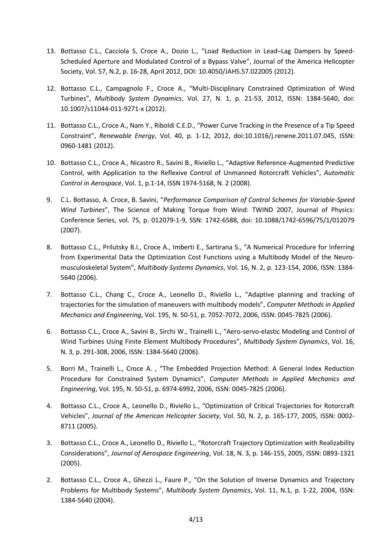- 13. Bottasso C.L., Cacciola S, Croce A., Dozio L., "Load Reduction in Lead–Lag Dampers by Speed-Scheduled Aperture and Modulated Control of a Bypass Valve", Journal of the America Helicopter Society, Vol. 57, N.2, p. 16-28, April 2012, DOI: 10.4050/JAHS.57.022005 (2012).
- 12. Bottasso C.L., Campagnolo F., Croce A., "Multi-Disciplinary Constrained Optimization of Wind Turbines", *Multibody System Dynamics*, Vol. 27, N. 1, p. 21-53, 2012, ISSN: 1384-5640, doi: 10.1007/s11044-011-9271-x (2012).
- 11. Bottasso C.L., Croce A., Nam Y., Riboldi C.E.D., "Power Curve Tracking in the Presence of a Tip Speed Constraint", *Renewable Energy*, Vol. 40, p. 1-12, 2012, doi:10.1016/j.renene.2011.07.045, ISSN: 0960-1481 (2012).
- 10. Bottasso C.L., Croce A., Nicastro R., Savini B., Riviello L., "Adaptive Reference-Augmented Predictive Control, with Application to the Reflexive Control of Unmanned Rotorcraft Vehicles", *Automatic Control in Aerospace*, Vol. 1, p.1-14, ISSN 1974-5168, N. 2 (2008).
- 9. C.L. Bottasso, A. Croce, B. Savini, "*Performance Comparison of Control Schemes for Variable-Speed Wind Turbines*", The Science of Making Torque from Wind: TWIND 2007, Journal of Physics: Conference Series, vol. 75, p. 012079-1-9, SSN: 1742-6588, doi: 10.1088/1742-6596/75/1/012079 (2007).
- 8. Bottasso C.L., Prilutsky B.I., Croce A., Imberti E., Sartirana S., "A Numerical Procedure for Inferring from Experimental Data the Optimization Cost Functions using a Multibody Model of the Neuromusculoskeletal System", *Multibody Systems Dynamics*, Vol. 16, N. 2, p. 123-154, 2006, ISSN: 1384- 5640 (2006).
- 7. Bottasso C.L., Chang C., Croce A., Leonello D., Riviello L., "Adaptive planning and tracking of trajectories for the simulation of maneuvers with multibody models", *Computer Methods in Applied Mechanics and Engineering*, Vol. 195, N. 50-51, p. 7052-7072, 2006, ISSN: 0045-7825 (2006).
- 6. Bottasso C.L., Croce A., Savini B., Sirchi W., Trainelli L., "Aero-servo-elastic Modeling and Control of Wind Turbines Using Finite Element Multibody Procedures", *Multibody System Dynamics*, Vol. 16, N. 3, p. 291-308, 2006, ISSN: 1384-5640 (2006).
- 5. Borri M., Trainelli L., Croce A. , "The Embedded Projection Method: A General Index Reduction Procedure for Constrained System Dynamics", *Computer Methods in Applied Mechanics and Engineering*, Vol. 195, N. 50-51, p. 6974-6992, 2006, ISSN: 0045-7825 (2006).
- 4. Bottasso C.L., Croce A., Leonello D., Riviello L., "Optimization of Critical Trajectories for Rotorcraft Vehicles", *Journal of the American Helicopter Society*, Vol. 50, N. 2, p. 165-177, 2005, ISSN: 0002- 8711 (2005).
- 3. Bottasso C.L., Croce A., Leonello D., Riviello L., "Rotorcraft Trajectory Optimization with Realizability Considerations", *Journal of Aerospace Engineering*, Vol. 18, N. 3, p. 146-155, 2005, ISSN: 0893-1321 (2005).
- 2. Bottasso C.L., Croce A., Ghezzi L., Faure P., "On the Solution of Inverse Dynamics and Trajectory Problems for Multibody Systems", *Multibody System Dynamics*, Vol. 11, N.1, p. 1-22, 2004, ISSN: 1384-5640 (2004).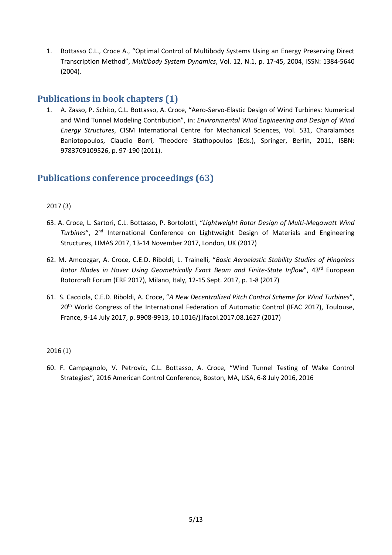1. Bottasso C.L., Croce A., "Optimal Control of Multibody Systems Using an Energy Preserving Direct Transcription Method", *Multibody System Dynamics*, Vol. 12, N.1, p. 17-45, 2004, ISSN: 1384-5640 (2004).

# **Publications in book chapters (1)**

1. A. Zasso, P. Schito, C.L. Bottasso, A. Croce, "Aero-Servo-Elastic Design of Wind Turbines: Numerical and Wind Tunnel Modeling Contribution", in: *Environmental Wind Engineering and Design of Wind Energy Structures*, CISM International Centre for Mechanical Sciences, Vol. 531, Charalambos Baniotopoulos, Claudio Borri, Theodore Stathopoulos (Eds.), Springer, Berlin, 2011, ISBN: 9783709109526, p. 97-190 (2011).

# **Publications conference proceedings (63)**

# 2017 (3)

- 63. A. Croce, L. Sartori, C.L. Bottasso, P. Bortolotti, "*Lightweight Rotor Design of Multi-Megawatt Wind*  Turbines", 2<sup>nd</sup> International Conference on Lightweight Design of Materials and Engineering Structures, LIMAS 2017, 13-14 November 2017, London, UK (2017)
- 62. M. Amoozgar, A. Croce, C.E.D. Riboldi, L. Trainelli, "*Basic Aeroelastic Stability Studies of Hingeless*  Rotor Blades in Hover Using Geometrically Exact Beam and Finite-State Inflow", 43<sup>rd</sup> European Rotorcraft Forum (ERF 2017), Milano, Italy, 12-15 Sept. 2017, p. 1-8 (2017)
- 61. S. Cacciola, C.E.D. Riboldi, A. Croce, "*A New Decentralized Pitch Control Scheme for Wind Turbines*", 20<sup>th</sup> World Congress of the International Federation of Automatic Control (IFAC 2017), Toulouse, France, 9-14 July 2017, p. 9908-9913, 10.1016/j.ifacol.2017.08.1627 (2017)

# 2016 (1)

60. F. Campagnolo, V. Petrovíc, C.L. Bottasso, A. Croce, "Wind Tunnel Testing of Wake Control Strategies", 2016 American Control Conference, Boston, MA, USA, 6-8 July 2016, 2016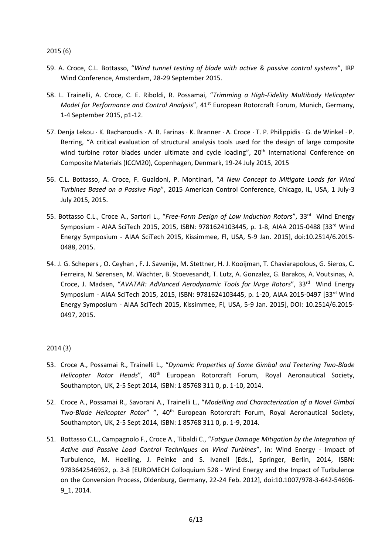2015 (6)

- 59. A. Croce, C.L. Bottasso, "*Wind tunnel testing of blade with active & passive control systems*", IRP Wind Conference, Amsterdam, 28-29 September 2015.
- 58. L. Trainelli, A. Croce, C. E. Riboldi, R. Possamai, "*Trimming a High-Fidelity Multibody Helicopter Model for Performance and Control Analysis*", 41st European Rotorcraft Forum, Munich, Germany, 1-4 September 2015, p1-12.
- 57. Denja Lekou · K. Bacharoudis · A. B. Farinas · K. Branner · A. Croce · T. P. Philippidis · G. de Winkel · P. Berring, "A critical evaluation of structural analysis tools used for the design of large composite wind turbine rotor blades under ultimate and cycle loading", 20<sup>th</sup> International Conference on Composite Materials (ICCM20), Copenhagen, Denmark, 19-24 July 2015, 2015
- 56. C.L. Bottasso, A. Croce, F. Gualdoni, P. Montinari, "*A New Concept to Mitigate Loads for Wind Turbines Based on a Passive Flap*", 2015 American Control Conference, Chicago, IL, USA, 1 July-3 July 2015, 2015.
- 55. Bottasso C.L., Croce A., Sartori L., "Free-Form Design of Low Induction Rotors", 33<sup>rd</sup> Wind Energy Symposium - AIAA SciTech 2015, 2015, ISBN: 9781624103445, p. 1-8, AIAA 2015-0488 [33rd Wind Energy Symposium - AIAA SciTech 2015, Kissimmee, Fl, USA, 5-9 Jan. 2015], [doi:10.2514/6.2015-](http://dx.doi.org/10.2514/6.2015-0488) [0488,](http://dx.doi.org/10.2514/6.2015-0488) 2015.
- 54. J. G. Schepers , O. Ceyhan , F. J. Savenije, M. Stettner, H. J. Kooijman, T. Chaviarapolous, G. Sieros, C. Ferreira, N. Sørensen, M. Wächter, B. Stoevesandt, T. Lutz, A. Gonzalez, G. Barakos, A. Voutsinas, A. Croce, J. Madsen, "AVATAR: AdVanced Aerodynamic Tools for lArge Rotors", 33<sup>rd</sup> Wind Energy Symposium - AIAA SciTech 2015, 2015, ISBN: 9781624103445, p. 1-20, AIAA 2015-0497 [33<sup>rd</sup> Wind Energy Symposium - AIAA SciTech 2015, Kissimmee, Fl, USA, 5-9 Jan. 2015], DOI: 10.2514/6.2015- 0497, 2015.

## 2014 (3)

- 53. Croce A., Possamai R., Trainelli L., "*Dynamic Properties of Some Gimbal and Teetering Two-Blade Helicopter Rotor Heads*", 40th European Rotorcraft Forum, Royal Aeronautical Society, Southampton, UK, 2-5 Sept 2014, ISBN: 1 85768 311 0, p. 1-10, 2014.
- 52. Croce A., Possamai R., Savorani A., Trainelli L., "*Modelling and Characterization of a Novel Gimbal Two-Blade Helicopter Rotor*" ", 40th European Rotorcraft Forum, Royal Aeronautical Society, Southampton, UK, 2-5 Sept 2014, ISBN: 1 85768 311 0, p. 1-9, 2014.
- 51. Bottasso C.L., Campagnolo F., Croce A., Tibaldi C., "*Fatigue Damage Mitigation by the Integration of Active and Passive Load Control Techniques on Wind Turbines*", in: Wind Energy - Impact of Turbulence, M. Hoelling, J. Peinke and S. Ivanell (Eds.), Springer, Berlin, 2014, ISBN: 9783642546952, p. 3-8 [EUROMECH Colloquium 528 - Wind Energy and the Impact of Turbulence on the Conversion Process, Oldenburg, Germany, 22-24 Feb. 2012], doi:10.1007/978-3-642-54696- 9\_1, 2014.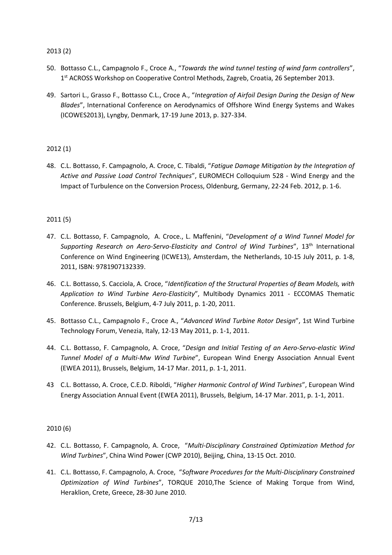2013 (2)

- 50. Bottasso C.L., Campagnolo F., Croce A., "*Towards the wind tunnel testing of wind farm controllers*", 1<sup>st</sup> ACROSS Workshop on Cooperative Control Methods, Zagreb, Croatia, 26 September 2013.
- 49. Sartori L., Grasso F., Bottasso C.L., Croce A., "*Integration of Airfoil Design During the Design of New Blades*", International Conference on Aerodynamics of Offshore Wind Energy Systems and Wakes (ICOWES2013), Lyngby, Denmark, 17-19 June 2013, p. 327-334.

## 2012 (1)

48. C.L. Bottasso, F. Campagnolo, A. Croce, C. Tibaldi, "*Fatigue Damage Mitigation by the Integration of Active and Passive Load Control Techniques*", EUROMECH Colloquium 528 - Wind Energy and the Impact of Turbulence on the Conversion Process, Oldenburg, Germany, 22-24 Feb. 2012, p. 1-6.

## 2011 (5)

- 47. C.L. Bottasso, F. Campagnolo, A. Croce., L. Maffenini, "*Development of a Wind Tunnel Model for*  Supporting Research on Aero-Servo-Elasticity and Control of Wind Turbines", 13<sup>th</sup> International Conference on Wind Engineering (ICWE13), Amsterdam, the Netherlands, 10-15 July 2011, p. 1-8, 2011, ISBN: 9781907132339.
- 46. C.L. Bottasso, S. Cacciola, A. Croce, "*Identification of the Structural Properties of Beam Models, with Application to Wind Turbine Aero-Elasticity*", Multibody Dynamics 2011 - ECCOMAS Thematic Conference. Brussels, Belgium, 4-7 July 2011, p. 1-20, 2011.
- 45. Bottasso C.L., Campagnolo F., Croce A., "*Advanced Wind Turbine Rotor Design*", 1st Wind Turbine Technology Forum, Venezia, Italy, 12-13 May 2011, p. 1-1, 2011.
- 44. C.L. Bottasso, F. Campagnolo, A. Croce, "*Design and Initial Testing of an Aero-Servo-elastic Wind Tunnel Model of a Multi-Mw Wind Turbine*", European Wind Energy Association Annual Event (EWEA 2011), Brussels, Belgium, 14-17 Mar. 2011, p. 1-1, 2011.
- 43 C.L. Bottasso, A. Croce, C.E.D. Riboldi, "*Higher Harmonic Control of Wind Turbines*", European Wind Energy Association Annual Event (EWEA 2011), Brussels, Belgium, 14-17 Mar. 2011, p. 1-1, 2011.

# 2010 (6)

- 42. C.L. Bottasso, F. Campagnolo, A. Croce, "*Multi-Disciplinary Constrained Optimization Method for Wind Turbines*", China Wind Power (CWP 2010), Beijing, China, 13-15 Oct. 2010.
- 41. C.L. Bottasso, F. Campagnolo, A. Croce, "*Software Procedures for the Multi-Disciplinary Constrained Optimization of Wind Turbines*", TORQUE 2010,The Science of Making Torque from Wind, Heraklion, Crete, Greece, 28-30 June 2010.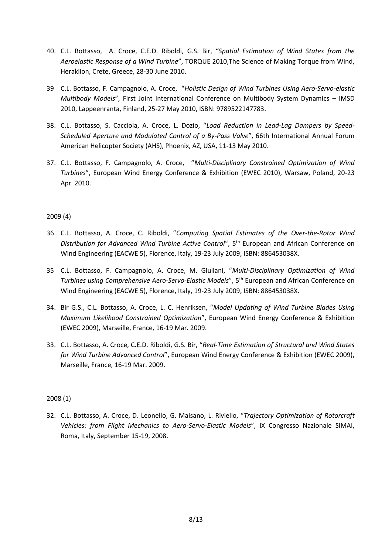- 40. C.L. Bottasso, A. Croce, C.E.D. Riboldi, G.S. Bir, "*Spatial Estimation of Wind States from the Aeroelastic Response of a Wind Turbine*", TORQUE 2010,The Science of Making Torque from Wind, Heraklion, Crete, Greece, 28-30 June 2010.
- 39 C.L. Bottasso, F. Campagnolo, A. Croce, "*Holistic Design of Wind Turbines Using Aero-Servo-elastic Multibody Models*", First Joint International Conference on Multibody System Dynamics – IMSD 2010, Lappeenranta, Finland, 25-27 May 2010, ISBN: 9789522147783.
- 38. C.L. Bottasso, S. Cacciola, A. Croce, L. Dozio, "*Load Reduction in Lead-Lag Dampers by Speed-Scheduled Aperture and Modulated Control of a By-Pass Valve*", 66th International Annual Forum American Helicopter Society (AHS), Phoenix, AZ, USA, 11-13 May 2010.
- 37. C.L. Bottasso, F. Campagnolo, A. Croce, "*Multi-Disciplinary Constrained Optimization of Wind Turbines*", European Wind Energy Conference & Exhibition (EWEC 2010), Warsaw, Poland, 20-23 Apr. 2010.

# 2009 (4)

- 36. C.L. Bottasso, A. Croce, C. Riboldi, "*Computing Spatial Estimates of the Over-the-Rotor Wind*  Distribution for Advanced Wind Turbine Active Control", 5<sup>th</sup> European and African Conference on Wind Engineering (EACWE 5), Florence, Italy, 19-23 July 2009, ISBN: 886453038X.
- 35 C.L. Bottasso, F. Campagnolo, A. Croce, M. Giuliani, "*Multi-Disciplinary Optimization of Wind Turbines using Comprehensive Aero-Servo-Elastic Models*", 5 th European and African Conference on Wind Engineering (EACWE 5), Florence, Italy, 19-23 July 2009, ISBN: 886453038X.
- 34. Bir G.S., C.L. Bottasso, A. Croce, L. C. Henriksen, "*Model Updating of Wind Turbine Blades Using Maximum Likelihood Constrained Optimization*", European Wind Energy Conference & Exhibition (EWEC 2009), Marseille, France, 16-19 Mar. 2009.
- 33. C.L. Bottasso, A. Croce, C.E.D. Riboldi, G.S. Bir, "*Real-Time Estimation of Structural and Wind States for Wind Turbine Advanced Control*", European Wind Energy Conference & Exhibition (EWEC 2009), Marseille, France, 16-19 Mar. 2009.

# 2008 (1)

32. C.L. Bottasso, A. Croce, D. Leonello, G. Maisano, L. Riviello, "*Trajectory Optimization of Rotorcraft Vehicles: from Flight Mechanics to Aero-Servo-Elastic Models*", IX Congresso Nazionale SIMAI, Roma, Italy, September 15-19, 2008.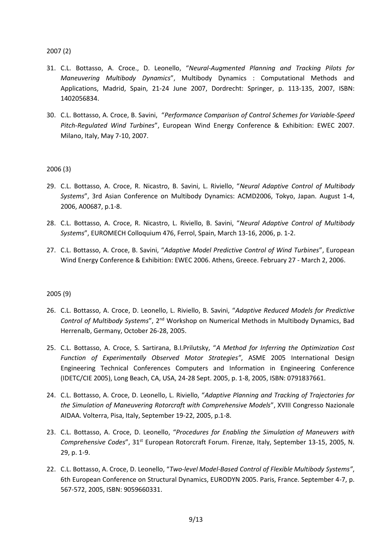2007 (2)

- 31. C.L. Bottasso, A. Croce., D. Leonello, "*Neural-Augmented Planning and Tracking Pilots for Maneuvering Multibody Dynamics*", Multibody Dynamics : Computational Methods and Applications, Madrid, Spain, 21-24 June 2007, Dordrecht: Springer, p. 113-135, 2007, ISBN: 1402056834.
- 30. C.L. Bottasso, A. Croce, B. Savini, "*Performance Comparison of Control Schemes for Variable-Speed Pitch-Regulated Wind Turbines*", European Wind Energy Conference & Exhibition: EWEC 2007. Milano, Italy, May 7-10, 2007.

## 2006 (3)

- 29. C.L. Bottasso, A. Croce, R. Nicastro, B. Savini, L. Riviello, "*Neural Adaptive Control of Multibody Systems*", 3rd Asian Conference on Multibody Dynamics: ACMD2006, Tokyo, Japan. August 1-4, 2006, A00687, p.1-8.
- 28. C.L. Bottasso, A. Croce, R. Nicastro, L. Riviello, B. Savini, "*Neural Adaptive Control of Multibody Systems*", EUROMECH Colloquium 476, Ferrol, Spain, March 13-16, 2006, p. 1-2.
- 27. C.L. Bottasso, A. Croce, B. Savini, "*Adaptive Model Predictive Control of Wind Turbines*", European Wind Energy Conference & Exhibition: EWEC 2006. Athens, Greece. February 27 - March 2, 2006.

## 2005 (9)

- 26. C.L. Bottasso, A. Croce, D. Leonello, L. Riviello, B. Savini, "*Adaptive Reduced Models for Predictive Control of Multibody Systems*", 2nd Workshop on Numerical Methods in Multibody Dynamics, Bad Herrenalb, Germany, October 26-28, 2005.
- 25. C.L. Bottasso, A. Croce, S. Sartirana, B.I.Prilutsky, "*A Method for Inferring the Optimization Cost Function of Experimentally Observed Motor Strategies"*, ASME 2005 International Design Engineering Technical Conferences Computers and Information in Engineering Conference (IDETC/CIE 2005), Long Beach, CA, USA, 24-28 Sept. 2005, p. 1-8, 2005, ISBN: 0791837661.
- 24. C.L. Bottasso, A. Croce, D. Leonello, L. Riviello, "*Adaptive Planning and Tracking of Trajectories for the Simulation of Maneuvering Rotorcraft with Comprehensive Models*", XVIII Congresso Nazionale AIDAA. Volterra, Pisa, Italy, September 19-22, 2005, p.1-8.
- 23. C.L. Bottasso, A. Croce, D. Leonello, "*Procedures for Enabling the Simulation of Maneuvers with Comprehensive Codes*", 31st European Rotorcraft Forum. Firenze, Italy, September 13-15, 2005, N. 29, p. 1-9.
- 22. C.L. Bottasso, A. Croce, D. Leonello, "*Two-level Model-Based Control of Flexible Multibody Systems"*, 6th European Conference on Structural Dynamics, EURODYN 2005. Paris, France. September 4-7, p. 567-572, 2005, ISBN: 9059660331.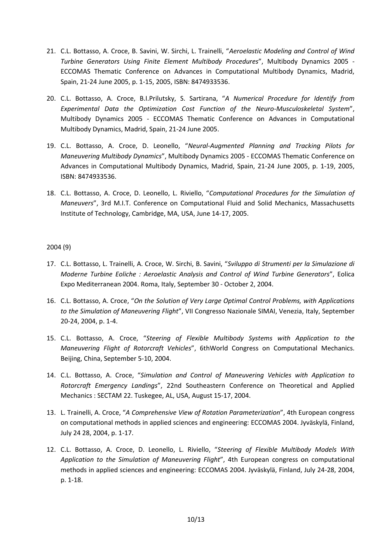- 21. C.L. Bottasso, A. Croce, B. Savini, W. Sirchi, L. Trainelli, "*Aeroelastic Modeling and Control of Wind Turbine Generators Using Finite Element Multibody Procedures*", Multibody Dynamics 2005 - ECCOMAS Thematic Conference on Advances in Computational Multibody Dynamics, Madrid, Spain, 21-24 June 2005, p. 1-15, 2005, ISBN: 8474933536.
- 20. C.L. Bottasso, A. Croce, B.I.Prilutsky, S. Sartirana, "*A Numerical Procedure for Identify from Experimental Data the Optimization Cost Function of the Neuro-Musculoskeletal System*", Multibody Dynamics 2005 - ECCOMAS Thematic Conference on Advances in Computational Multibody Dynamics, Madrid, Spain, 21-24 June 2005.
- 19. C.L. Bottasso, A. Croce, D. Leonello, "*Neural-Augmented Planning and Tracking Pilots for Maneuvering Multibody Dynamics*", Multibody Dynamics 2005 - ECCOMAS Thematic Conference on Advances in Computational Multibody Dynamics, Madrid, Spain, 21-24 June 2005, p. 1-19, 2005, ISBN: 8474933536.
- 18. C.L. Bottasso, A. Croce, D. Leonello, L. Riviello, "*Computational Procedures for the Simulation of Maneuvers*", 3rd M.I.T. Conference on Computational Fluid and Solid Mechanics, Massachusetts Institute of Technology, Cambridge, MA, USA, June 14-17, 2005.

# 2004 (9)

- 17. C.L. Bottasso, L. Trainelli, A. Croce, W. Sirchi, B. Savini, "*Sviluppo di Strumenti per la Simulazione di Moderne Turbine Eoliche : Aeroelastic Analysis and Control of Wind Turbine Generators*", Eolica Expo Mediterranean 2004. Roma, Italy, September 30 - October 2, 2004.
- 16. C.L. Bottasso, A. Croce, "*On the Solution of Very Large Optimal Control Problems, with Applications to the Simulation of Maneuvering Flight*", VII Congresso Nazionale SIMAI, Venezia, Italy, September 20-24, 2004, p. 1-4.
- 15. C.L. Bottasso, A. Croce, "*Steering of Flexible Multibody Systems with Application to the Maneuvering Flight of Rotorcraft Vehicles*", 6thWorld Congress on Computational Mechanics. Beijing, China, September 5-10, 2004.
- 14. C.L. Bottasso, A. Croce, "*Simulation and Control of Maneuvering Vehicles with Application to Rotorcraft Emergency Landings*", 22nd Southeastern Conference on Theoretical and Applied Mechanics : SECTAM 22. Tuskegee, AL, USA, August 15-17, 2004.
- 13. L. Trainelli, A. Croce, "*A Comprehensive View of Rotation Parameterization*", 4th European congress on computational methods in applied sciences and engineering: ECCOMAS 2004. Jyväskylä, Finland, July 24 28, 2004, p. 1-17.
- 12. C.L. Bottasso, A. Croce, D. Leonello, L. Riviello, "*Steering of Flexible Multibody Models With Application to the Simulation of Maneuvering Flight*", 4th European congress on computational methods in applied sciences and engineering: ECCOMAS 2004. Jyväskylä, Finland, July 24-28, 2004, p. 1-18.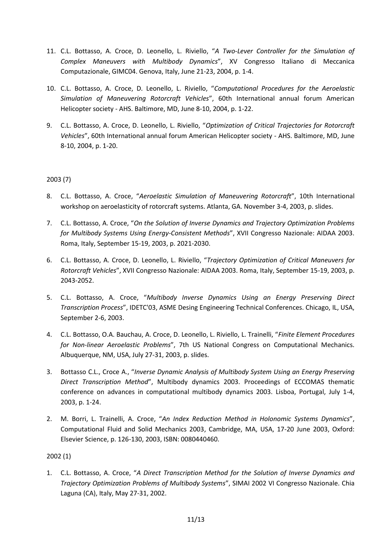- 11. C.L. Bottasso, A. Croce, D. Leonello, L. Riviello, "*A Two-Lever Controller for the Simulation of Complex Maneuvers with Multibody Dynamics*", XV Congresso Italiano di Meccanica Computazionale, GIMC04. Genova, Italy, June 21-23, 2004, p. 1-4.
- 10. C.L. Bottasso, A. Croce, D. Leonello, L. Riviello, "*Computational Procedures for the Aeroelastic Simulation of Maneuvering Rotorcraft Vehicles*", 60th International annual forum American Helicopter society - AHS. Baltimore, MD, June 8-10, 2004, p. 1-22.
- 9. C.L. Bottasso, A. Croce, D. Leonello, L. Riviello, "*Optimization of Critical Trajectories for Rotorcraft Vehicles*", 60th International annual forum American Helicopter society - AHS. Baltimore, MD, June 8-10, 2004, p. 1-20.

# 2003 (7)

- 8. C.L. Bottasso, A. Croce, "*Aeroelastic Simulation of Maneuvering Rotorcraft*", 10th International workshop on aeroelasticity of rotorcraft systems. Atlanta, GA. November 3-4, 2003, p. slides.
- 7. C.L. Bottasso, A. Croce, "*On the Solution of Inverse Dynamics and Trajectory Optimization Problems for Multibody Systems Using Energy-Consistent Methods*", XVII Congresso Nazionale: AIDAA 2003. Roma, Italy, September 15-19, 2003, p. 2021-2030.
- 6. C.L. Bottasso, A. Croce, D. Leonello, L. Riviello, "*Trajectory Optimization of Critical Maneuvers for Rotorcraft Vehicles*", XVII Congresso Nazionale: AIDAA 2003. Roma, Italy, September 15-19, 2003, p. 2043-2052.
- 5. C.L. Bottasso, A. Croce, "*Multibody Inverse Dynamics Using an Energy Preserving Direct Transcription Process*", IDETC'03, ASME Desing Engineering Technical Conferences. Chicago, IL, USA, September 2-6, 2003.
- 4. C.L. Bottasso, O.A. Bauchau, A. Croce, D. Leonello, L. Riviello, L. Trainelli, "*Finite Element Procedures for Non-linear Aeroelastic Problems*", 7th US National Congress on Computational Mechanics. Albuquerque, NM, USA, July 27-31, 2003, p. slides.
- 3. Bottasso C.L., Croce A., "*Inverse Dynamic Analysis of Multibody System Using an Energy Preserving Direct Transcription Method*", Multibody dynamics 2003. Proceedings of ECCOMAS thematic conference on advances in computational multibody dynamics 2003. Lisboa, Portugal, July 1-4, 2003, p. 1-24.
- 2. M. Borri, L. Trainelli, A. Croce, "*An Index Reduction Method in Holonomic Systems Dynamics*", Computational Fluid and Solid Mechanics 2003, Cambridge, MA, USA, 17-20 June 2003, Oxford: Elsevier Science, p. 126-130, 2003, ISBN: 0080440460.

2002 (1)

1. C.L. Bottasso, A. Croce, "*A Direct Transcription Method for the Solution of Inverse Dynamics and Trajectory Optimization Problems of Multibody Systems*", SIMAI 2002 VI Congresso Nazionale. Chia Laguna (CA), Italy, May 27-31, 2002.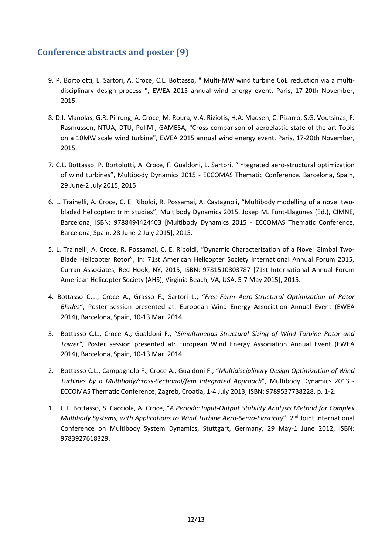# **Conference abstracts and poster (9)**

- 9. P. Bortolotti, L. Sartori, A. Croce, C.L. Bottasso, " Multi-MW wind turbine CoE reduction via a multidisciplinary design process ", EWEA 2015 annual wind energy event, Paris, 17-20th November, 2015.
- 8. D.I. Manolas, G.R. Pirrung, A. Croce, M. Roura, V.A. Riziotis, H.A. Madsen, C. Pizarro, S.G. Voutsinas, F. Rasmussen, NTUA, DTU, PoliMi, GAMESA, "Cross comparison of aeroelastic state-of-the-art Tools on a 10MW scale wind turbine", EWEA 2015 annual wind energy event, Paris, 17-20th November, 2015.
- 7. C.L. Bottasso, P. Bortolotti, A. Croce, F. Gualdoni, L. Sartori, "Integrated aero-structural optimization of wind turbines", Multibody Dynamics 2015 - ECCOMAS Thematic Conference. Barcelona, Spain, 29 June-2 July 2015, 2015.
- 6. L. Trainelli, A. Croce, C. E. Riboldi, R. Possamai, A. Castagnoli, "Multibody modelling of a novel twobladed helicopter: trim studies", Multibody Dynamics 2015, Josep M. Font-Llagunes (Ed.), CIMNE, Barcelona, ISBN: 9788494424403 [Multibody Dynamics 2015 - ECCOMAS Thematic Conference, Barcelona, Spain, 28 June-2 July 2015], 2015.
- 5. L. Trainelli, A. Croce, R. Possamai, C. E. Riboldi, "Dynamic Characterization of a Novel Gimbal Two-Blade Helicopter Rotor", in: 71st American Helicopter Society International Annual Forum 2015, Curran Associates, Red Hook, NY, 2015, ISBN: 9781510803787 [71st International Annual Forum American Helicopter Society (AHS), Virginia Beach, VA, USA, 5-7 May 2015], 2015.
- 4. Bottasso C.L., Croce A., Grasso F., Sartori L., "*Free-Form Aero-Structural Optimization of Rotor Blades*", Poster session presented at: European Wind Energy Association Annual Event (EWEA 2014), Barcelona, Spain, 10-13 Mar. 2014.
- 3. Bottasso C.L., Croce A., Gualdoni F., "*Simultaneous Structural Sizing of Wind Turbine Rotor and Tower",* Poster session presented at: European Wind Energy Association Annual Event (EWEA 2014), Barcelona, Spain, 10-13 Mar. 2014.
- 2. Bottasso C.L., Campagnolo F., Croce A., Gualdoni F., "*Multidisciplinary Design Optimization of Wind Turbines by a Multibody/cross-Sectional/fem Integrated Approach*", Multibody Dynamics 2013 - ECCOMAS Thematic Conference, Zagreb, Croatia, 1-4 July 2013, ISBN: 9789537738228, p. 1-2.
- 1. C.L. Bottasso, S. Cacciola, A. Croce, "*A Periodic Input-Output Stability Analysis Method for Complex Multibody Systems, with Applications to Wind Turbine Aero-Servo-Elasticity*", 2<sup>nd</sup> Joint International Conference on Multibody System Dynamics, Stuttgart, Germany, 29 May-1 June 2012, ISBN: 9783927618329.